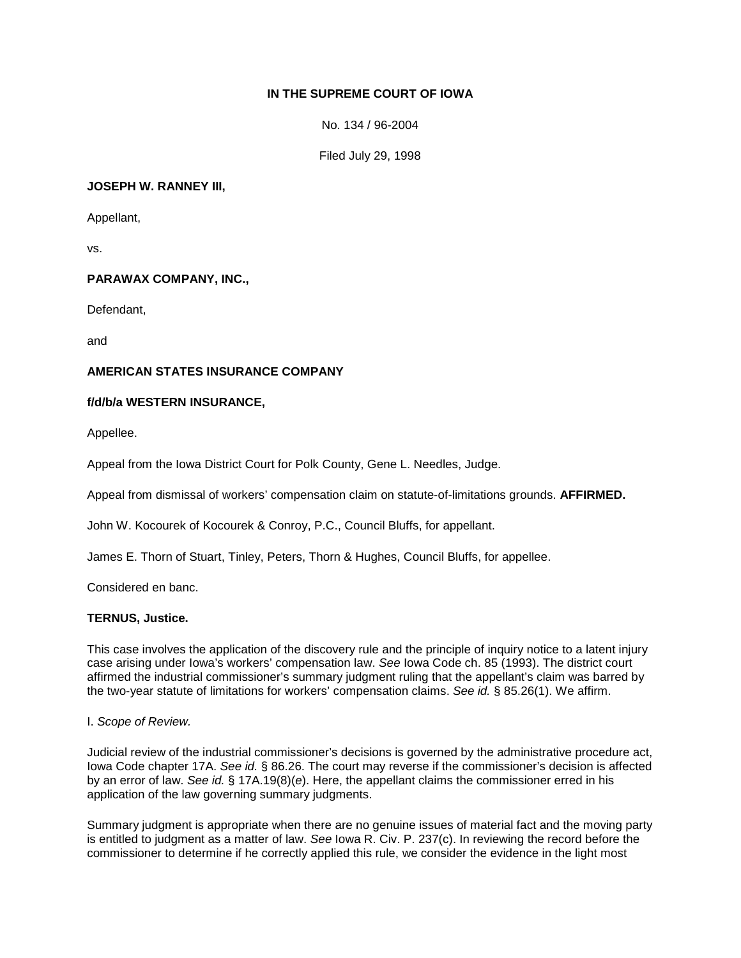# **IN THE SUPREME COURT OF IOWA**

No. 134 / 96-2004

Filed July 29, 1998

### **JOSEPH W. RANNEY III,**

Appellant,

vs.

## **PARAWAX COMPANY, INC.,**

Defendant,

and

## **AMERICAN STATES INSURANCE COMPANY**

### **f/d/b/a WESTERN INSURANCE,**

Appellee.

Appeal from the Iowa District Court for Polk County, Gene L. Needles, Judge.

Appeal from dismissal of workers' compensation claim on statute-of-limitations grounds. **AFFIRMED.**

John W. Kocourek of Kocourek & Conroy, P.C., Council Bluffs, for appellant.

James E. Thorn of Stuart, Tinley, Peters, Thorn & Hughes, Council Bluffs, for appellee.

Considered en banc.

## **TERNUS, Justice.**

This case involves the application of the discovery rule and the principle of inquiry notice to a latent injury case arising under Iowa's workers' compensation law. *See* Iowa Code ch. 85 (1993). The district court affirmed the industrial commissioner's summary judgment ruling that the appellant's claim was barred by the two-year statute of limitations for workers' compensation claims. *See id.* § 85.26(1). We affirm.

#### I. *Scope of Review.*

Judicial review of the industrial commissioner's decisions is governed by the administrative procedure act, Iowa Code chapter 17A. *See id.* § 86.26. The court may reverse if the commissioner's decision is affected by an error of law. *See id.* § 17A.19(8)(*e*). Here, the appellant claims the commissioner erred in his application of the law governing summary judgments.

Summary judgment is appropriate when there are no genuine issues of material fact and the moving party is entitled to judgment as a matter of law. *See* Iowa R. Civ. P. 237(c). In reviewing the record before the commissioner to determine if he correctly applied this rule, we consider the evidence in the light most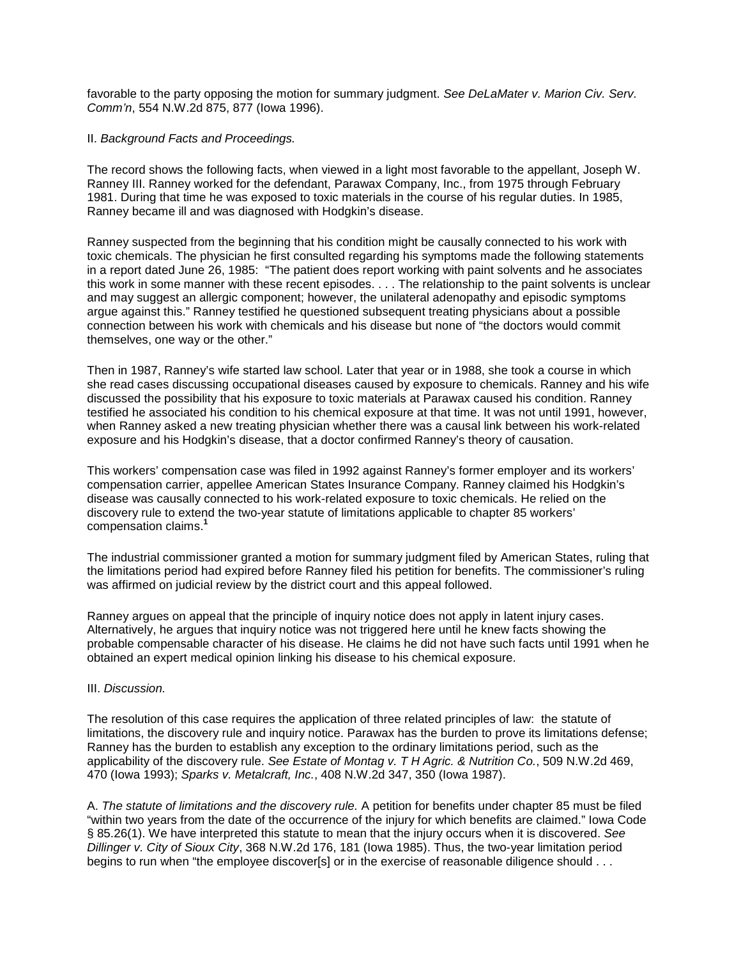favorable to the party opposing the motion for summary judgment. *See DeLaMater v. Marion Civ. Serv. Comm'n*, 554 N.W.2d 875, 877 (Iowa 1996).

### II. *Background Facts and Proceedings.*

The record shows the following facts, when viewed in a light most favorable to the appellant, Joseph W. Ranney III. Ranney worked for the defendant, Parawax Company, Inc., from 1975 through February 1981. During that time he was exposed to toxic materials in the course of his regular duties. In 1985, Ranney became ill and was diagnosed with Hodgkin's disease.

Ranney suspected from the beginning that his condition might be causally connected to his work with toxic chemicals. The physician he first consulted regarding his symptoms made the following statements in a report dated June 26, 1985: "The patient does report working with paint solvents and he associates this work in some manner with these recent episodes. . . . The relationship to the paint solvents is unclear and may suggest an allergic component; however, the unilateral adenopathy and episodic symptoms argue against this." Ranney testified he questioned subsequent treating physicians about a possible connection between his work with chemicals and his disease but none of "the doctors would commit themselves, one way or the other."

Then in 1987, Ranney's wife started law school. Later that year or in 1988, she took a course in which she read cases discussing occupational diseases caused by exposure to chemicals. Ranney and his wife discussed the possibility that his exposure to toxic materials at Parawax caused his condition. Ranney testified he associated his condition to his chemical exposure at that time. It was not until 1991, however, when Ranney asked a new treating physician whether there was a causal link between his work-related exposure and his Hodgkin's disease, that a doctor confirmed Ranney's theory of causation.

This workers' compensation case was filed in 1992 against Ranney's former employer and its workers' compensation carrier, appellee American States Insurance Company. Ranney claimed his Hodgkin's disease was causally connected to his work-related exposure to toxic chemicals. He relied on the discovery rule to extend the two-year statute of limitations applicable to chapter 85 workers' compensation claims.**<sup>1</sup>**

The industrial commissioner granted a motion for summary judgment filed by American States, ruling that the limitations period had expired before Ranney filed his petition for benefits. The commissioner's ruling was affirmed on judicial review by the district court and this appeal followed.

Ranney argues on appeal that the principle of inquiry notice does not apply in latent injury cases. Alternatively, he argues that inquiry notice was not triggered here until he knew facts showing the probable compensable character of his disease. He claims he did not have such facts until 1991 when he obtained an expert medical opinion linking his disease to his chemical exposure.

#### III. *Discussion.*

The resolution of this case requires the application of three related principles of law: the statute of limitations, the discovery rule and inquiry notice. Parawax has the burden to prove its limitations defense; Ranney has the burden to establish any exception to the ordinary limitations period, such as the applicability of the discovery rule. *See Estate of Montag v. T H Agric. & Nutrition Co.*, 509 N.W.2d 469, 470 (Iowa 1993); *Sparks v. Metalcraft, Inc.*, 408 N.W.2d 347, 350 (Iowa 1987).

A. *The statute of limitations and the discovery rule.* A petition for benefits under chapter 85 must be filed "within two years from the date of the occurrence of the injury for which benefits are claimed." Iowa Code § 85.26(1). We have interpreted this statute to mean that the injury occurs when it is discovered. *See Dillinger v. City of Sioux City*, 368 N.W.2d 176, 181 (Iowa 1985). Thus, the two-year limitation period begins to run when "the employee discover[s] or in the exercise of reasonable diligence should . . .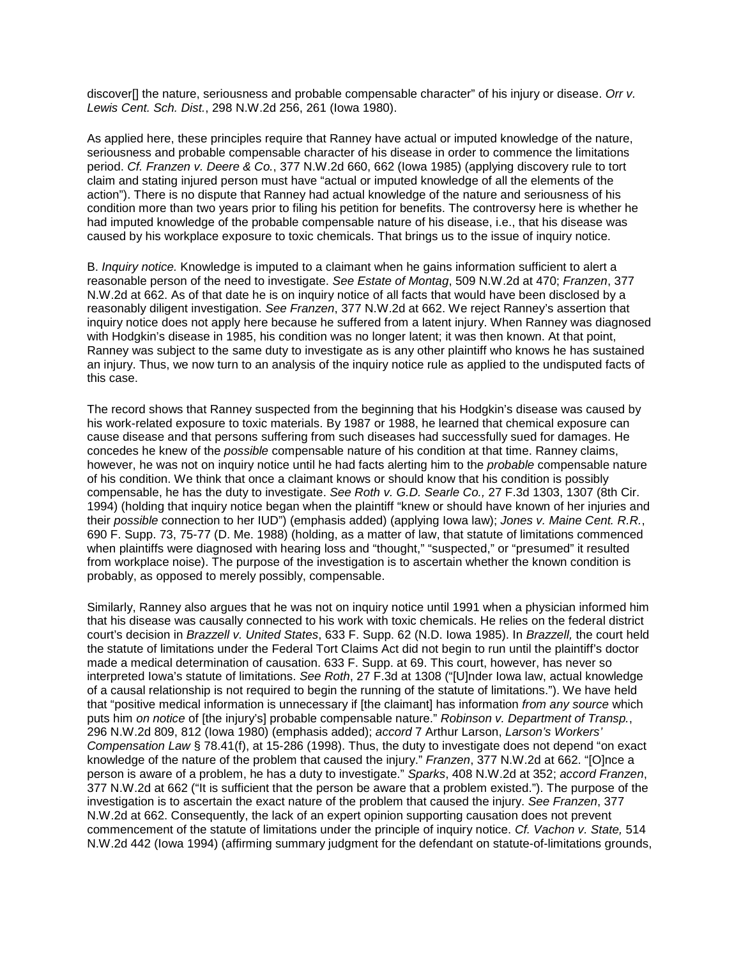discover[] the nature, seriousness and probable compensable character" of his injury or disease. *Orr v. Lewis Cent. Sch. Dist.*, 298 N.W.2d 256, 261 (Iowa 1980).

As applied here, these principles require that Ranney have actual or imputed knowledge of the nature, seriousness and probable compensable character of his disease in order to commence the limitations period. *Cf. Franzen v. Deere & Co.*, 377 N.W.2d 660, 662 (Iowa 1985) (applying discovery rule to tort claim and stating injured person must have "actual or imputed knowledge of all the elements of the action"). There is no dispute that Ranney had actual knowledge of the nature and seriousness of his condition more than two years prior to filing his petition for benefits. The controversy here is whether he had imputed knowledge of the probable compensable nature of his disease, i.e., that his disease was caused by his workplace exposure to toxic chemicals. That brings us to the issue of inquiry notice.

B. *Inquiry notice.* Knowledge is imputed to a claimant when he gains information sufficient to alert a reasonable person of the need to investigate. *See Estate of Montag*, 509 N.W.2d at 470; *Franzen*, 377 N.W.2d at 662. As of that date he is on inquiry notice of all facts that would have been disclosed by a reasonably diligent investigation. *See Franzen*, 377 N.W.2d at 662. We reject Ranney's assertion that inquiry notice does not apply here because he suffered from a latent injury. When Ranney was diagnosed with Hodgkin's disease in 1985, his condition was no longer latent; it was then known. At that point, Ranney was subject to the same duty to investigate as is any other plaintiff who knows he has sustained an injury. Thus, we now turn to an analysis of the inquiry notice rule as applied to the undisputed facts of this case.

The record shows that Ranney suspected from the beginning that his Hodgkin's disease was caused by his work-related exposure to toxic materials. By 1987 or 1988, he learned that chemical exposure can cause disease and that persons suffering from such diseases had successfully sued for damages. He concedes he knew of the *possible* compensable nature of his condition at that time. Ranney claims, however, he was not on inquiry notice until he had facts alerting him to the *probable* compensable nature of his condition. We think that once a claimant knows or should know that his condition is possibly compensable, he has the duty to investigate. *See Roth v. G.D. Searle Co.,* 27 F.3d 1303, 1307 (8th Cir. 1994) (holding that inquiry notice began when the plaintiff "knew or should have known of her injuries and their *possible* connection to her IUD") (emphasis added) (applying Iowa law); *Jones v. Maine Cent. R.R.*, 690 F. Supp. 73, 75-77 (D. Me. 1988) (holding, as a matter of law, that statute of limitations commenced when plaintiffs were diagnosed with hearing loss and "thought," "suspected," or "presumed" it resulted from workplace noise). The purpose of the investigation is to ascertain whether the known condition is probably, as opposed to merely possibly, compensable.

Similarly, Ranney also argues that he was not on inquiry notice until 1991 when a physician informed him that his disease was causally connected to his work with toxic chemicals. He relies on the federal district court's decision in *Brazzell v. United States*, 633 F. Supp. 62 (N.D. Iowa 1985). In *Brazzell,* the court held the statute of limitations under the Federal Tort Claims Act did not begin to run until the plaintiff's doctor made a medical determination of causation. 633 F. Supp. at 69. This court, however, has never so interpreted Iowa's statute of limitations. *See Roth*, 27 F.3d at 1308 ("[U]nder Iowa law, actual knowledge of a causal relationship is not required to begin the running of the statute of limitations."). We have held that "positive medical information is unnecessary if [the claimant] has information *from any source* which puts him *on notice* of [the injury's] probable compensable nature." *Robinson v. Department of Transp.*, 296 N.W.2d 809, 812 (Iowa 1980) (emphasis added); *accord* 7 Arthur Larson, *Larson's Workers' Compensation Law* § 78.41(f), at 15-286 (1998). Thus, the duty to investigate does not depend "on exact knowledge of the nature of the problem that caused the injury." *Franzen*, 377 N.W.2d at 662. "[O]nce a person is aware of a problem, he has a duty to investigate." *Sparks*, 408 N.W.2d at 352; *accord Franzen*, 377 N.W.2d at 662 ("It is sufficient that the person be aware that a problem existed."). The purpose of the investigation is to ascertain the exact nature of the problem that caused the injury. *See Franzen*, 377 N.W.2d at 662. Consequently, the lack of an expert opinion supporting causation does not prevent commencement of the statute of limitations under the principle of inquiry notice. *Cf. Vachon v. State,* 514 N.W.2d 442 (Iowa 1994) (affirming summary judgment for the defendant on statute-of-limitations grounds,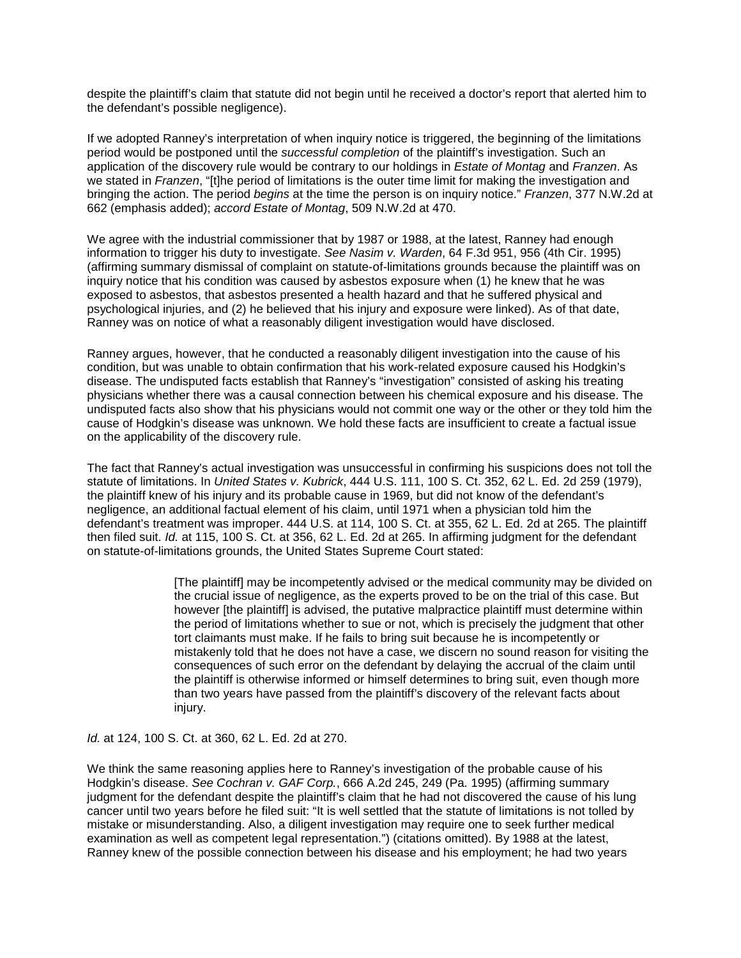despite the plaintiff's claim that statute did not begin until he received a doctor's report that alerted him to the defendant's possible negligence).

If we adopted Ranney's interpretation of when inquiry notice is triggered, the beginning of the limitations period would be postponed until the *successful completion* of the plaintiff's investigation. Such an application of the discovery rule would be contrary to our holdings in *Estate of Montag* and *Franzen*. As we stated in *Franzen*, "[t]he period of limitations is the outer time limit for making the investigation and bringing the action. The period *begins* at the time the person is on inquiry notice." *Franzen*, 377 N.W.2d at 662 (emphasis added); *accord Estate of Montag*, 509 N.W.2d at 470.

We agree with the industrial commissioner that by 1987 or 1988, at the latest, Ranney had enough information to trigger his duty to investigate. *See Nasim v. Warden*, 64 F.3d 951, 956 (4th Cir. 1995) (affirming summary dismissal of complaint on statute-of-limitations grounds because the plaintiff was on inquiry notice that his condition was caused by asbestos exposure when (1) he knew that he was exposed to asbestos, that asbestos presented a health hazard and that he suffered physical and psychological injuries, and (2) he believed that his injury and exposure were linked). As of that date, Ranney was on notice of what a reasonably diligent investigation would have disclosed.

Ranney argues, however, that he conducted a reasonably diligent investigation into the cause of his condition, but was unable to obtain confirmation that his work-related exposure caused his Hodgkin's disease. The undisputed facts establish that Ranney's "investigation" consisted of asking his treating physicians whether there was a causal connection between his chemical exposure and his disease. The undisputed facts also show that his physicians would not commit one way or the other or they told him the cause of Hodgkin's disease was unknown. We hold these facts are insufficient to create a factual issue on the applicability of the discovery rule.

The fact that Ranney's actual investigation was unsuccessful in confirming his suspicions does not toll the statute of limitations. In *United States v. Kubrick*, 444 U.S. 111, 100 S. Ct. 352, 62 L. Ed. 2d 259 (1979), the plaintiff knew of his injury and its probable cause in 1969, but did not know of the defendant's negligence, an additional factual element of his claim, until 1971 when a physician told him the defendant's treatment was improper. 444 U.S. at 114, 100 S. Ct. at 355, 62 L. Ed. 2d at 265. The plaintiff then filed suit. *Id.* at 115, 100 S. Ct. at 356, 62 L. Ed. 2d at 265. In affirming judgment for the defendant on statute-of-limitations grounds, the United States Supreme Court stated:

> [The plaintiff] may be incompetently advised or the medical community may be divided on the crucial issue of negligence, as the experts proved to be on the trial of this case. But however [the plaintiff] is advised, the putative malpractice plaintiff must determine within the period of limitations whether to sue or not, which is precisely the judgment that other tort claimants must make. If he fails to bring suit because he is incompetently or mistakenly told that he does not have a case, we discern no sound reason for visiting the consequences of such error on the defendant by delaying the accrual of the claim until the plaintiff is otherwise informed or himself determines to bring suit, even though more than two years have passed from the plaintiff's discovery of the relevant facts about injury.

*Id.* at 124, 100 S. Ct. at 360, 62 L. Ed. 2d at 270.

We think the same reasoning applies here to Ranney's investigation of the probable cause of his Hodgkin's disease. *See Cochran v. GAF Corp.*, 666 A.2d 245, 249 (Pa. 1995) (affirming summary judgment for the defendant despite the plaintiff's claim that he had not discovered the cause of his lung cancer until two years before he filed suit: "It is well settled that the statute of limitations is not tolled by mistake or misunderstanding. Also, a diligent investigation may require one to seek further medical examination as well as competent legal representation.") (citations omitted). By 1988 at the latest, Ranney knew of the possible connection between his disease and his employment; he had two years